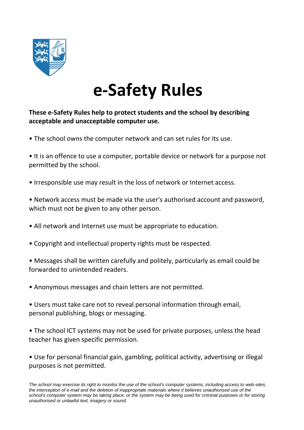

# **e-Safety Rules**

### **These e-Safety Rules help to protect students and the school by describing acceptable and unacceptable computer use.**

• The school owns the computer network and can set rules for its use.

• It is an offence to use a computer, portable device or network for a purpose not permitted by the school.

• Irresponsible use may result in the loss of network or Internet access.

• Network access must be made via the user's authorised account and password, which must not be given to any other person.

- All network and Internet use must be appropriate to education.
- Copyright and intellectual property rights must be respected.
- Messages shall be written carefully and politely, particularly as email could be forwarded to unintended readers.
- Anonymous messages and chain letters are not permitted.
- Users must take care not to reveal personal information through email, personal publishing, blogs or messaging.
- The school ICT systems may not be used for private purposes, unless the head teacher has given specific permission.

• Use for personal financial gain, gambling, political activity, advertising or illegal purposes is not permitted.

*The school may exercise its right to monitor the use of the school's computer systems, including access to web-sites,*  the interception of e-mail and the deletion of inappropriate materials where it believes unauthorised use of the *school's computer system may be taking place, or the system may be being used for criminal purposes or for storing unauthorised or unlawful text, imagery or sound.*